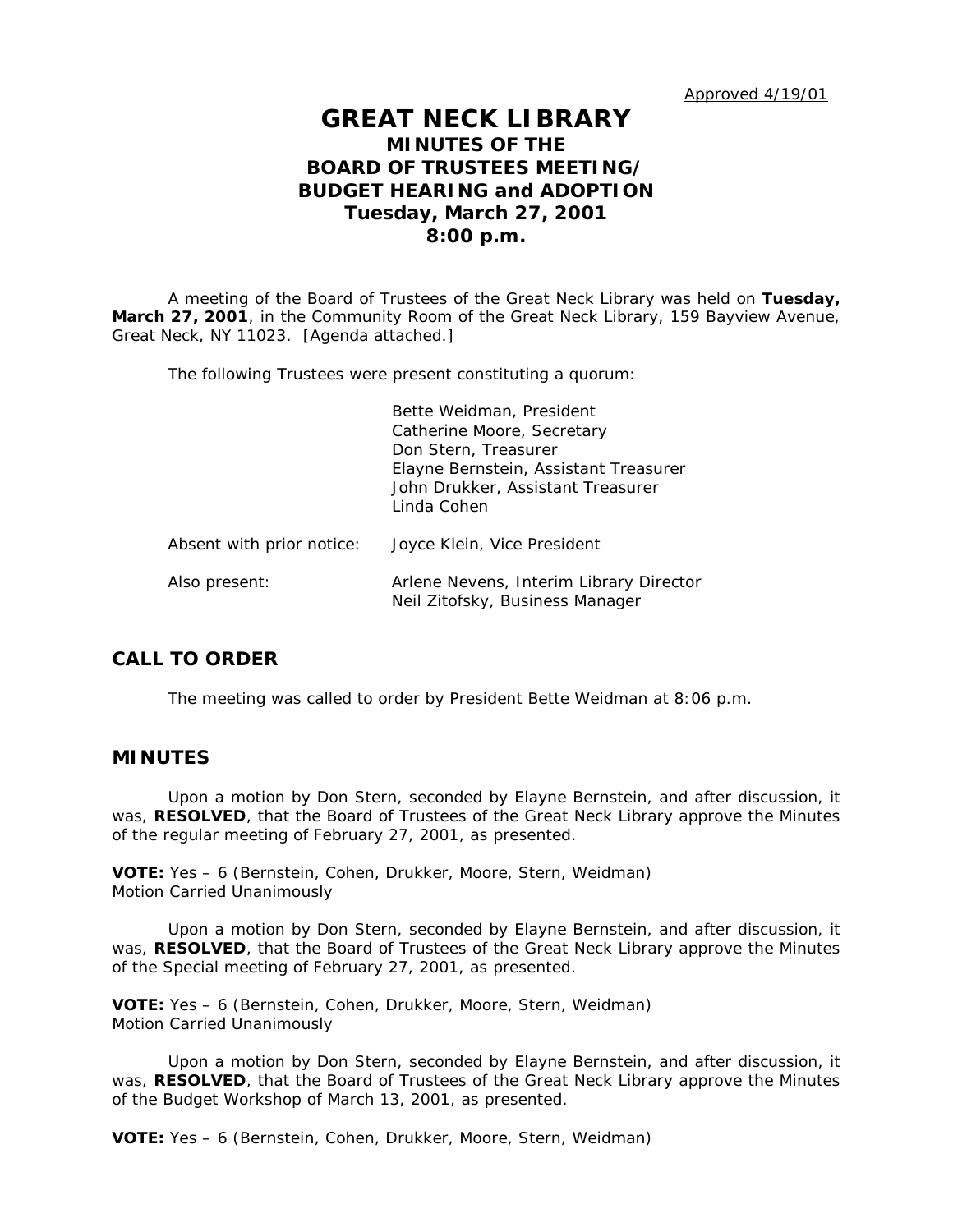Approved 4/19/01

# **GREAT NECK LIBRARY MINUTES OF THE BOARD OF TRUSTEES MEETING/ BUDGET HEARING and ADOPTION Tuesday, March 27, 2001 8:00 p.m.**

A meeting of the Board of Trustees of the Great Neck Library was held on **Tuesday, March 27, 2001**, in the Community Room of the Great Neck Library, 159 Bayview Avenue, Great Neck, NY 11023. [Agenda attached.]

The following Trustees were present constituting a quorum:

|                           | Bette Weidman, President<br>Catherine Moore, Secretary<br>Don Stern, Treasurer<br>Elayne Bernstein, Assistant Treasurer<br>John Drukker, Assistant Treasurer<br>Linda Cohen |
|---------------------------|-----------------------------------------------------------------------------------------------------------------------------------------------------------------------------|
| Absent with prior notice: | Joyce Klein, Vice President                                                                                                                                                 |
| Also present:             | Arlene Nevens, Interim Library Director<br>Neil Zitofsky, Business Manager                                                                                                  |

# **CALL TO ORDER**

The meeting was called to order by President Bette Weidman at 8:06 p.m.

## **MINUTES**

Upon a motion by Don Stern, seconded by Elayne Bernstein, and after discussion, it was, **RESOLVED**, that the Board of Trustees of the Great Neck Library approve the Minutes of the regular meeting of February 27, 2001, as presented.

**VOTE:** Yes – 6 (Bernstein, Cohen, Drukker, Moore, Stern, Weidman) *Motion Carried Unanimously*

Upon a motion by Don Stern, seconded by Elayne Bernstein, and after discussion, it was, **RESOLVED**, that the Board of Trustees of the Great Neck Library approve the Minutes of the Special meeting of February 27, 2001, as presented.

**VOTE:** Yes – 6 (Bernstein, Cohen, Drukker, Moore, Stern, Weidman) *Motion Carried Unanimously*

Upon a motion by Don Stern, seconded by Elayne Bernstein, and after discussion, it was, **RESOLVED**, that the Board of Trustees of the Great Neck Library approve the Minutes of the Budget Workshop of March 13, 2001, as presented.

**VOTE:** Yes – 6 (Bernstein, Cohen, Drukker, Moore, Stern, Weidman)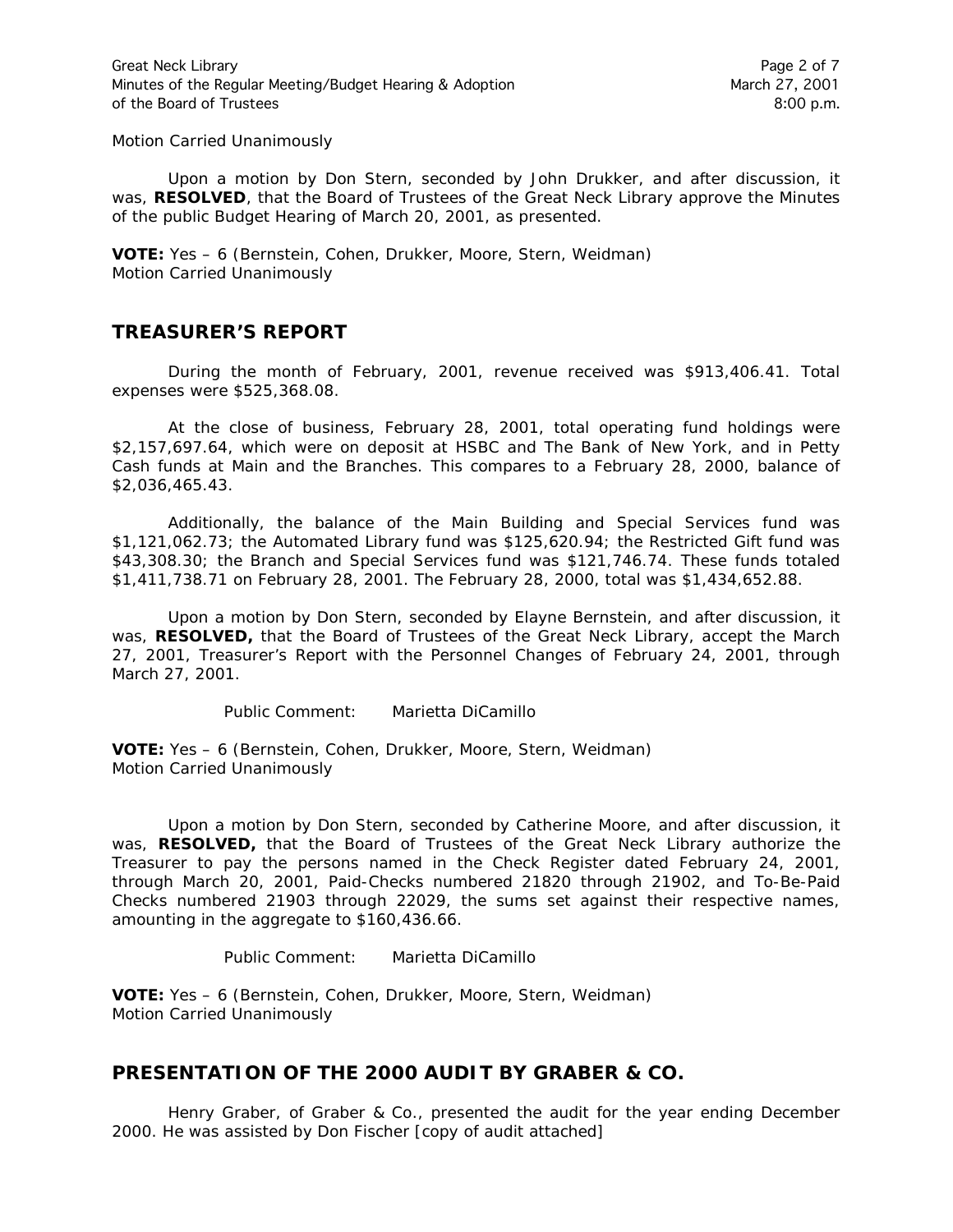*Motion Carried Unanimously*

Upon a motion by Don Stern, seconded by John Drukker, and after discussion, it was, **RESOLVED**, that the Board of Trustees of the Great Neck Library approve the Minutes of the public Budget Hearing of March 20, 2001, as presented.

**VOTE:** Yes – 6 (Bernstein, Cohen, Drukker, Moore, Stern, Weidman) *Motion Carried Unanimously*

# **TREASURER'S REPORT**

During the month of February, 2001, revenue received was \$913,406.41. Total expenses were \$525,368.08.

At the close of business, February 28, 2001, total operating fund holdings were \$2,157,697.64, which were on deposit at HSBC and The Bank of New York, and in Petty Cash funds at Main and the Branches. This compares to a February 28, 2000, balance of \$2,036,465.43.

Additionally, the balance of the Main Building and Special Services fund was \$1,121,062.73; the Automated Library fund was \$125,620.94; the Restricted Gift fund was \$43,308.30; the Branch and Special Services fund was \$121,746.74. These funds totaled \$1,411,738.71 on February 28, 2001. The February 28, 2000, total was \$1,434,652.88.

Upon a motion by Don Stern, seconded by Elayne Bernstein, and after discussion, it was, **RESOLVED,** that the Board of Trustees of the Great Neck Library, accept the March 27, 2001, Treasurer's Report with the Personnel Changes of February 24, 2001, through March 27, 2001.

Public Comment: Marietta DiCamillo

**VOTE:** Yes – 6 (Bernstein, Cohen, Drukker, Moore, Stern, Weidman) *Motion Carried Unanimously*

Upon a motion by Don Stern, seconded by Catherine Moore, and after discussion, it was, **RESOLVED,** that the Board of Trustees of the Great Neck Library authorize the Treasurer to pay the persons named in the Check Register dated February 24, 2001, through March 20, 2001, Paid-Checks numbered 21820 through 21902, and To-Be-Paid Checks numbered 21903 through 22029, the sums set against their respective names, amounting in the aggregate to \$160,436.66.

Public Comment: Marietta DiCamillo

**VOTE:** Yes – 6 (Bernstein, Cohen, Drukker, Moore, Stern, Weidman) *Motion Carried Unanimously*

# **PRESENTATION OF THE 2000 AUDIT BY GRABER & CO.**

Henry Graber, of Graber & Co., presented the audit for the year ending December 2000. He was assisted by Don Fischer [copy of audit attached]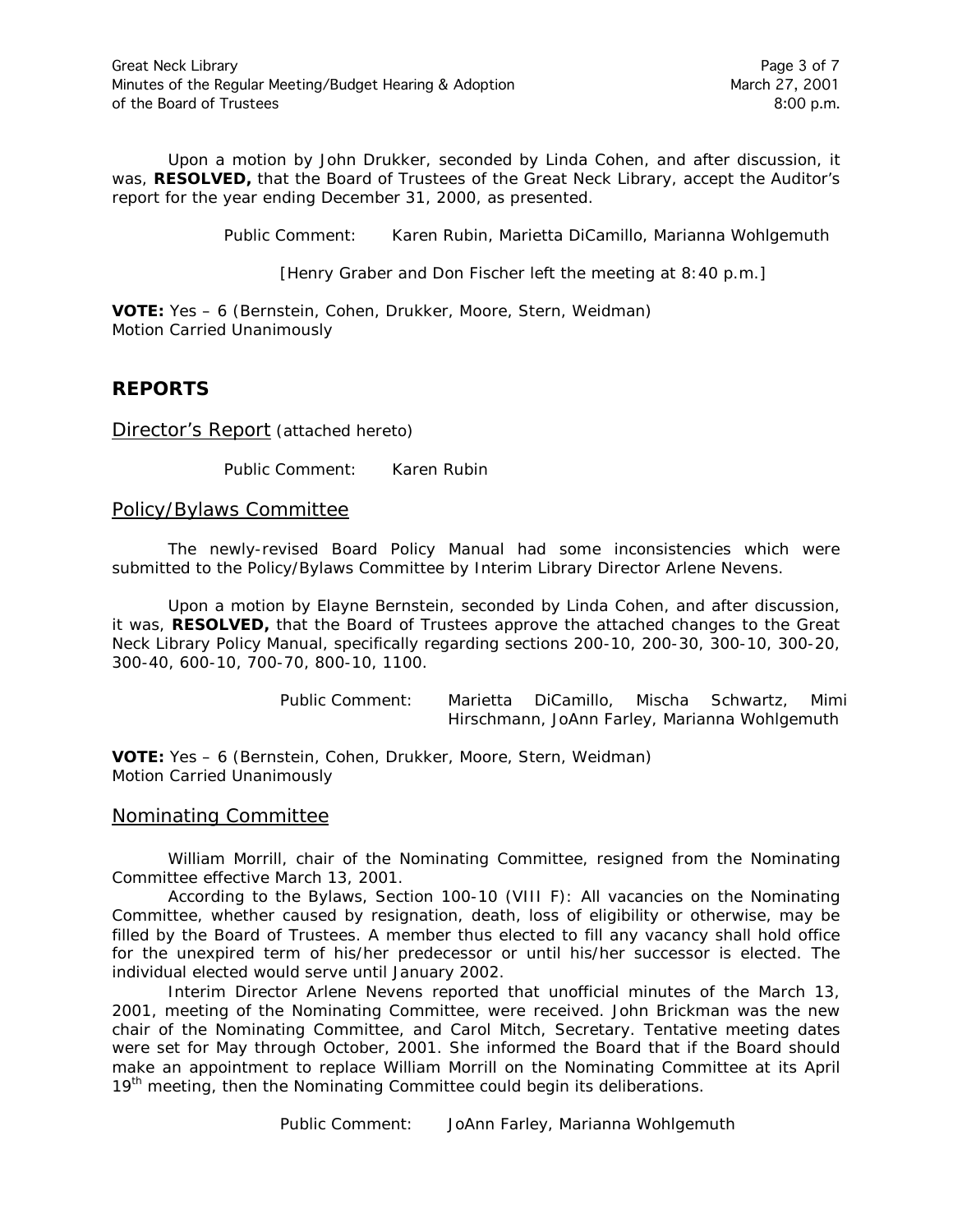Upon a motion by John Drukker, seconded by Linda Cohen, and after discussion, it was, **RESOLVED,** that the Board of Trustees of the Great Neck Library, accept the Auditor's report for the year ending December 31, 2000, as presented.

Public Comment: Karen Rubin, Marietta DiCamillo, Marianna Wohlgemuth

[Henry Graber and Don Fischer left the meeting at 8:40 p.m.]

**VOTE:** Yes – 6 (Bernstein, Cohen, Drukker, Moore, Stern, Weidman) *Motion Carried Unanimously*

# **REPORTS**

Director's Report (attached hereto)

Public Comment: Karen Rubin

Policy/Bylaws Committee

The newly-revised Board Policy Manual had some inconsistencies which were submitted to the Policy/Bylaws Committee by Interim Library Director Arlene Nevens.

Upon a motion by Elayne Bernstein, seconded by Linda Cohen, and after discussion, it was, **RESOLVED,** that the Board of Trustees approve the attached changes to the Great Neck Library Policy Manual, specifically regarding sections 200-10, 200-30, 300-10, 300-20, 300-40, 600-10, 700-70, 800-10, 1100.

> Public Comment: Marietta DiCamillo, Mischa Schwartz, Mimi Hirschmann, JoAnn Farley, Marianna Wohlgemuth

**VOTE:** Yes – 6 (Bernstein, Cohen, Drukker, Moore, Stern, Weidman) *Motion Carried Unanimously*

# Nominating Committee

William Morrill, chair of the Nominating Committee, resigned from the Nominating Committee effective March 13, 2001.

According to the Bylaws, Section 100-10 (VIII F): *All vacancies on the Nominating Committee, whether caused by resignation, death, loss of eligibility or otherwise, may be filled by the Board of Trustees. A member thus elected to fill any vacancy shall hold office for the unexpired term of his/her predecessor or until his/her successor is elected.* The individual elected would serve until January 2002.

Interim Director Arlene Nevens reported that unofficial minutes of the March 13, 2001, meeting of the Nominating Committee, were received. John Brickman was the new chair of the Nominating Committee, and Carol Mitch, Secretary. Tentative meeting dates were set for May through October, 2001. She informed the Board that if the Board should make an appointment to replace William Morrill on the Nominating Committee at its April 19<sup>th</sup> meeting, then the Nominating Committee could begin its deliberations.

Public Comment: JoAnn Farley, Marianna Wohlgemuth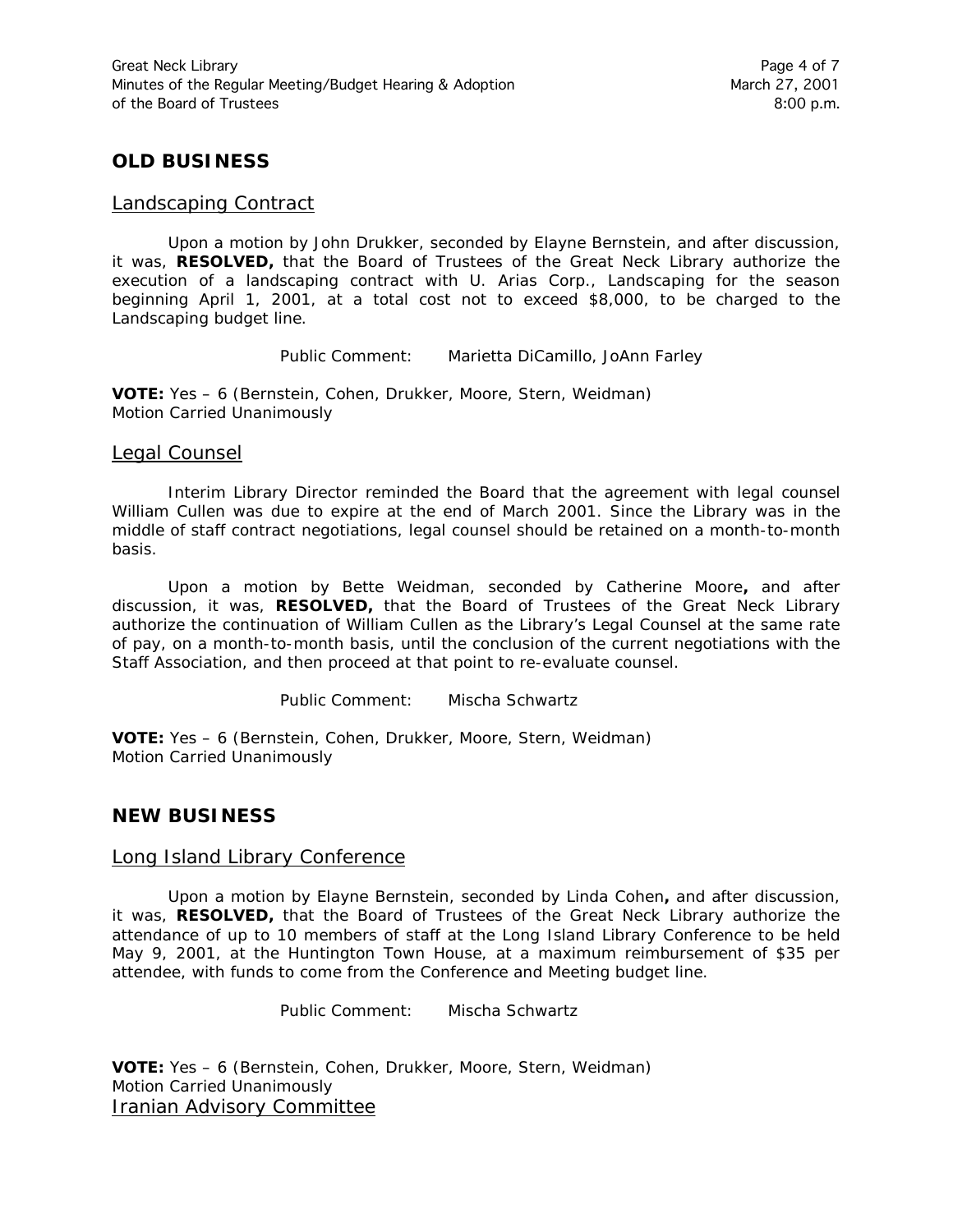# **OLD BUSINESS**

#### Landscaping Contract

Upon a motion by John Drukker, seconded by Elayne Bernstein, and after discussion, it was, **RESOLVED,** that the Board of Trustees of the Great Neck Library authorize the execution of a landscaping contract with U. Arias Corp., Landscaping for the season beginning April 1, 2001, at a total cost not to exceed \$8,000, to be charged to the Landscaping budget line.

Public Comment: Marietta DiCamillo, JoAnn Farley

**VOTE:** Yes – 6 (Bernstein, Cohen, Drukker, Moore, Stern, Weidman) *Motion Carried Unanimously*

#### Legal Counsel

Interim Library Director reminded the Board that the agreement with legal counsel William Cullen was due to expire at the end of March 2001. Since the Library was in the middle of staff contract negotiations, legal counsel should be retained on a month-to-month basis.

Upon a motion by Bette Weidman, seconded by Catherine Moore**,** and after discussion, it was, **RESOLVED,** that the Board of Trustees of the Great Neck Library authorize the continuation of William Cullen as the Library's Legal Counsel at the same rate of pay, on a month-to-month basis, until the conclusion of the current negotiations with the Staff Association, and then proceed at that point to re-evaluate counsel.

Public Comment: Mischa Schwartz

**VOTE:** Yes – 6 (Bernstein, Cohen, Drukker, Moore, Stern, Weidman) *Motion Carried Unanimously*

# **NEW BUSINESS**

### Long Island Library Conference

Upon a motion by Elayne Bernstein, seconded by Linda Cohen**,** and after discussion, it was, **RESOLVED,** that the Board of Trustees of the Great Neck Library authorize the attendance of up to 10 members of staff at the Long Island Library Conference to be held May 9, 2001, at the Huntington Town House, at a maximum reimbursement of \$35 per attendee, with funds to come from the Conference and Meeting budget line.

Public Comment: Mischa Schwartz

**VOTE:** Yes – 6 (Bernstein, Cohen, Drukker, Moore, Stern, Weidman) *Motion Carried Unanimously* Iranian Advisory Committee